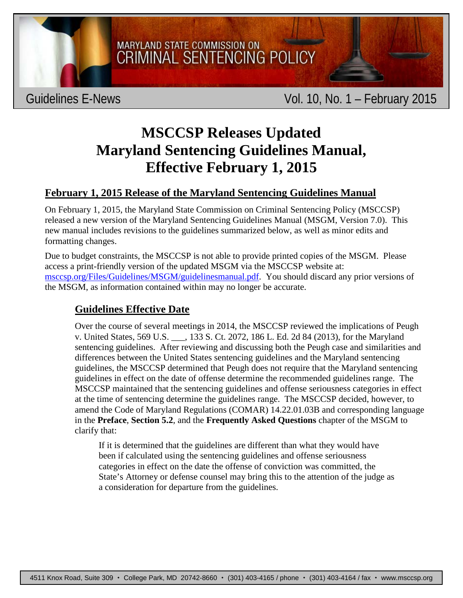

MARYLAND STATE COMMISSION ON **CRIMINAL SENTENCING POLICY** 

# **MSCCSP Releases Updated Maryland Sentencing Guidelines Manual, Effective February 1, 2015**

## **February 1, 2015 Release of the Maryland Sentencing Guidelines Manual**

On February 1, 2015, the Maryland State Commission on Criminal Sentencing Policy (MSCCSP) released a new version of the Maryland Sentencing Guidelines Manual (MSGM, Version 7.0). This new manual includes revisions to the guidelines summarized below, as well as minor edits and formatting changes.

Due to budget constraints, the MSCCSP is not able to provide printed copies of the MSGM. Please access a print-friendly version of the updated MSGM via the MSCCSP website at: [msccsp.org/Files/Guidelines/MSGM/guidelinesmanual.pdf.](http://msccsp.org/Files/Guidelines/MSGM/guidelinesmanual.pdf) You should discard any prior versions of the MSGM, as information contained within may no longer be accurate.

## **Guidelines Effective Date**

Over the course of several meetings in 2014, the MSCCSP reviewed the implications of Peugh v. United States, 569 U.S. \_\_\_, 133 S. Ct. 2072, 186 L. Ed. 2d 84 (2013), for the Maryland sentencing guidelines. After reviewing and discussing both the Peugh case and similarities and differences between the United States sentencing guidelines and the Maryland sentencing guidelines, the MSCCSP determined that Peugh does not require that the Maryland sentencing guidelines in effect on the date of offense determine the recommended guidelines range. The MSCCSP maintained that the sentencing guidelines and offense seriousness categories in effect at the time of sentencing determine the guidelines range. The MSCCSP decided, however, to amend the Code of Maryland Regulations (COMAR) 14.22.01.03B and corresponding language in the **Preface**, **Section 5.2**, and the **Frequently Asked Questions** chapter of the MSGM to clarify that:

If it is determined that the guidelines are different than what they would have been if calculated using the sentencing guidelines and offense seriousness categories in effect on the date the offense of conviction was committed, the State's Attorney or defense counsel may bring this to the attention of the judge as a consideration for departure from the guidelines.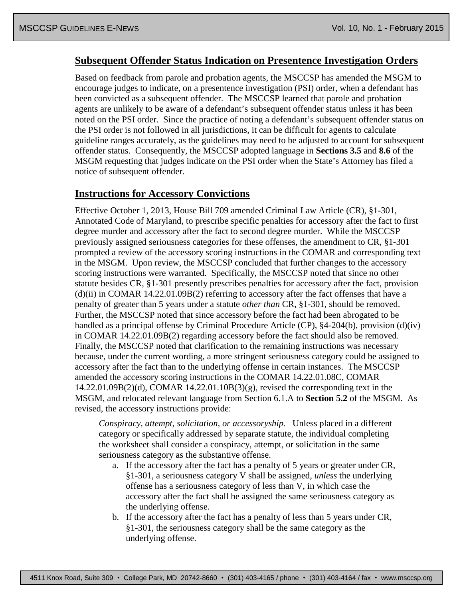#### **Subsequent Offender Status Indication on Presentence Investigation Orders**

Based on feedback from parole and probation agents, the MSCCSP has amended the MSGM to encourage judges to indicate, on a presentence investigation (PSI) order, when a defendant has been convicted as a subsequent offender. The MSCCSP learned that parole and probation agents are unlikely to be aware of a defendant's subsequent offender status unless it has been noted on the PSI order. Since the practice of noting a defendant's subsequent offender status on the PSI order is not followed in all jurisdictions, it can be difficult for agents to calculate guideline ranges accurately, as the guidelines may need to be adjusted to account for subsequent offender status. Consequently, the MSCCSP adopted language in **Sections 3.5** and **8.6** of the MSGM requesting that judges indicate on the PSI order when the State's Attorney has filed a notice of subsequent offender.

#### **Instructions for Accessory Convictions**

Effective October 1, 2013, House Bill 709 amended Criminal Law Article (CR), §1-301, Annotated Code of Maryland, to prescribe specific penalties for accessory after the fact to first degree murder and accessory after the fact to second degree murder. While the MSCCSP previously assigned seriousness categories for these offenses, the amendment to CR, §1-301 prompted a review of the accessory scoring instructions in the COMAR and corresponding text in the MSGM. Upon review, the MSCCSP concluded that further changes to the accessory scoring instructions were warranted. Specifically, the MSCCSP noted that since no other statute besides CR, §1-301 presently prescribes penalties for accessory after the fact, provision  $(d)(ii)$  in COMAR 14.22.01.09B(2) referring to accessory after the fact offenses that have a penalty of greater than 5 years under a statute *other than* CR, §1-301, should be removed. Further, the MSCCSP noted that since accessory before the fact had been abrogated to be handled as a principal offense by Criminal Procedure Article (CP), §4-204(b), provision (d)(iv) in COMAR 14.22.01.09B(2) regarding accessory before the fact should also be removed. Finally, the MSCCSP noted that clarification to the remaining instructions was necessary because, under the current wording, a more stringent seriousness category could be assigned to accessory after the fact than to the underlying offense in certain instances. The MSCCSP amended the accessory scoring instructions in the COMAR 14.22.01.08C, COMAR  $14.22.01.09B(2)(d)$ , COMAR  $14.22.01.10B(3)(g)$ , revised the corresponding text in the MSGM, and relocated relevant language from Section 6.1.A to **Section 5.2** of the MSGM. As revised, the accessory instructions provide:

*Conspiracy, attempt, solicitation, or accessoryship.* Unless placed in a different category or specifically addressed by separate statute, the individual completing the worksheet shall consider a conspiracy, attempt, or solicitation in the same seriousness category as the substantive offense.

- a. If the accessory after the fact has a penalty of 5 years or greater under CR, §1-301, a seriousness category V shall be assigned, *unless* the underlying offense has a seriousness category of less than V, in which case the accessory after the fact shall be assigned the same seriousness category as the underlying offense.
- b. If the accessory after the fact has a penalty of less than 5 years under CR, §1-301, the seriousness category shall be the same category as the underlying offense.